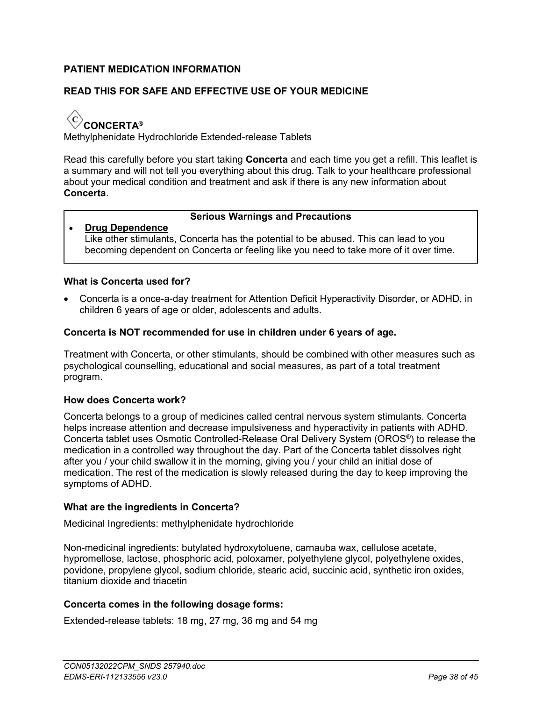# **PATIENT MEDICATION INFORMATION**

# **READ THIS FOR SAFE AND EFFECTIVE USE OF YOUR MEDICINE**

 $\langle \, {\rm c} \rangle$ **CONCERTA®**

Methylphenidate Hydrochloride Extended-release Tablets

Read this carefully before you start taking **Concerta** and each time you get a refill. This leaflet is a summary and will not tell you everything about this drug. Talk to your healthcare professional about your medical condition and treatment and ask if there is any new information about **Concerta**.

### **Serious Warnings and Precautions**

 **Drug Dependence** Like other stimulants, Concerta has the potential to be abused. This can lead to you becoming dependent on Concerta or feeling like you need to take more of it over time.

### **What is Concerta used for?**

 Concerta is a once-a-day treatment for Attention Deficit Hyperactivity Disorder, or ADHD, in children 6 years of age or older, adolescents and adults.

### **Concerta is NOT recommended for use in children under 6 years of age.**

Treatment with Concerta, or other stimulants, should be combined with other measures such as psychological counselling, educational and social measures, as part of a total treatment program.

### **How does Concerta work?**

Concerta belongs to a group of medicines called central nervous system stimulants. Concerta helps increase attention and decrease impulsiveness and hyperactivity in patients with ADHD. Concerta tablet uses Osmotic Controlled-Release Oral Delivery System (OROS® ) to release the medication in a controlled way throughout the day. Part of the Concerta tablet dissolves right after you / your child swallow it in the morning, giving you / your child an initial dose of medication. The rest of the medication is slowly released during the day to keep improving the symptoms of ADHD.

### **What are the ingredients in Concerta?**

Medicinal Ingredients: methylphenidate hydrochloride

Non-medicinal ingredients: butylated hydroxytoluene, carnauba wax, cellulose acetate, hypromellose, lactose, phosphoric acid, poloxamer, polyethylene glycol, polyethylene oxides, povidone, propylene glycol, sodium chloride, stearic acid, succinic acid, synthetic iron oxides, titanium dioxide and triacetin

### **Concerta comes in the following dosage forms:**

Extended-release tablets: 18 mg, 27 mg, 36 mg and 54 mg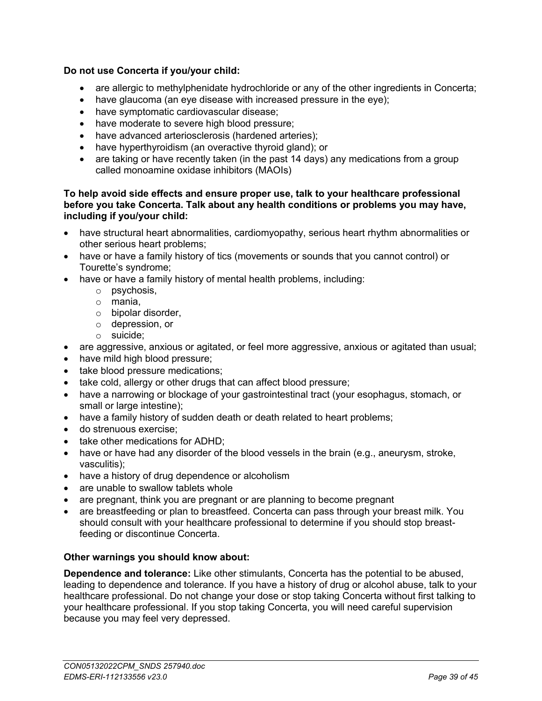# **Do not use Concerta if you/your child:**

- are allergic to methylphenidate hydrochloride or any of the other ingredients in Concerta;
- have glaucoma (an eye disease with increased pressure in the eye);
- have symptomatic cardiovascular disease;
- have moderate to severe high blood pressure;
- have advanced arteriosclerosis (hardened arteries);
- have hyperthyroidism (an overactive thyroid gland); or
- are taking or have recently taken (in the past 14 days) any medications from a group called monoamine oxidase inhibitors (MAOIs)

### **To help avoid side effects and ensure proper use, talk to your healthcare professional before you take Concerta. Talk about any health conditions or problems you may have, including if you/your child:**

- have structural heart abnormalities, cardiomyopathy, serious heart rhythm abnormalities or other serious heart problems;
- have or have a family history of tics (movements or sounds that you cannot control) or Tourette's syndrome;
- have or have a family history of mental health problems, including:
	- o psychosis,
	- o mania,
	- o bipolar disorder,
	- o depression, or
	- o suicide;
- are aggressive, anxious or agitated, or feel more aggressive, anxious or agitated than usual;
- have mild high blood pressure;
- take blood pressure medications;
- take cold, allergy or other drugs that can affect blood pressure;
- have a narrowing or blockage of your gastrointestinal tract (your esophagus, stomach, or small or large intestine);
- have a family history of sudden death or death related to heart problems;
- do strenuous exercise;
- take other medications for ADHD;
- have or have had any disorder of the blood vessels in the brain (e.g., aneurysm, stroke, vasculitis);
- have a history of drug dependence or alcoholism
- are unable to swallow tablets whole
- are pregnant, think you are pregnant or are planning to become pregnant
- are breastfeeding or plan to breastfeed. Concerta can pass through your breast milk. You should consult with your healthcare professional to determine if you should stop breastfeeding or discontinue Concerta.

# **Other warnings you should know about:**

**Dependence and tolerance:** Like other stimulants, Concerta has the potential to be abused, leading to dependence and tolerance. If you have a history of drug or alcohol abuse, talk to your healthcare professional. Do not change your dose or stop taking Concerta without first talking to your healthcare professional. If you stop taking Concerta, you will need careful supervision because you may feel very depressed.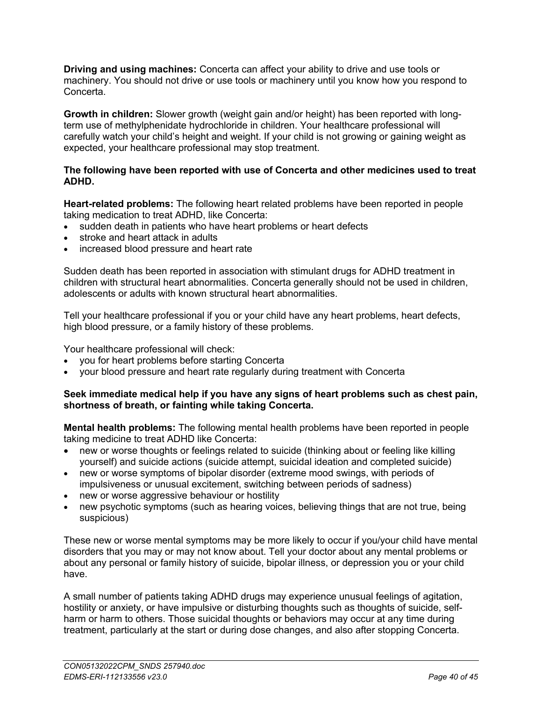**Driving and using machines:** Concerta can affect your ability to drive and use tools or machinery. You should not drive or use tools or machinery until you know how you respond to Concerta.

**Growth in children:** Slower growth (weight gain and/or height) has been reported with longterm use of methylphenidate hydrochloride in children. Your healthcare professional will carefully watch your child's height and weight. If your child is not growing or gaining weight as expected, your healthcare professional may stop treatment.

### **The following have been reported with use of Concerta and other medicines used to treat ADHD.**

**Heart-related problems:** The following heart related problems have been reported in people taking medication to treat ADHD, like Concerta:

- sudden death in patients who have heart problems or heart defects
- stroke and heart attack in adults
- increased blood pressure and heart rate

Sudden death has been reported in association with stimulant drugs for ADHD treatment in children with structural heart abnormalities. Concerta generally should not be used in children, adolescents or adults with known structural heart abnormalities.

Tell your healthcare professional if you or your child have any heart problems, heart defects, high blood pressure, or a family history of these problems.

Your healthcare professional will check:

- you for heart problems before starting Concerta
- your blood pressure and heart rate regularly during treatment with Concerta

### **Seek immediate medical help if you have any signs of heart problems such as chest pain, shortness of breath, or fainting while taking Concerta.**

**Mental health problems:** The following mental health problems have been reported in people taking medicine to treat ADHD like Concerta:

- new or worse thoughts or feelings related to suicide (thinking about or feeling like killing yourself) and suicide actions (suicide attempt, suicidal ideation and completed suicide)
- new or worse symptoms of bipolar disorder (extreme mood swings, with periods of impulsiveness or unusual excitement, switching between periods of sadness)
- new or worse aggressive behaviour or hostility
- new psychotic symptoms (such as hearing voices, believing things that are not true, being suspicious)

These new or worse mental symptoms may be more likely to occur if you/your child have mental disorders that you may or may not know about. Tell your doctor about any mental problems or about any personal or family history of suicide, bipolar illness, or depression you or your child have.

A small number of patients taking ADHD drugs may experience unusual feelings of agitation, hostility or anxiety, or have impulsive or disturbing thoughts such as thoughts of suicide, selfharm or harm to others. Those suicidal thoughts or behaviors may occur at any time during treatment, particularly at the start or during dose changes, and also after stopping Concerta.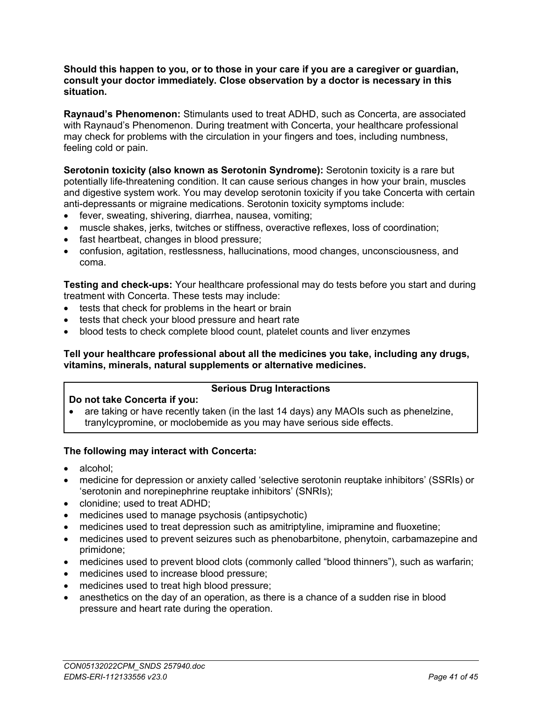#### **Should this happen to you, or to those in your care if you are a caregiver or guardian, consult your doctor immediately. Close observation by a doctor is necessary in this situation.**

**Raynaud's Phenomenon:** Stimulants used to treat ADHD, such as Concerta, are associated with Raynaud's Phenomenon. During treatment with Concerta, your healthcare professional may check for problems with the circulation in your fingers and toes, including numbness, feeling cold or pain.

**Serotonin toxicity (also known as Serotonin Syndrome):** Serotonin toxicity is a rare but potentially life-threatening condition. It can cause serious changes in how your brain, muscles and digestive system work. You may develop serotonin toxicity if you take Concerta with certain anti-depressants or migraine medications. Serotonin toxicity symptoms include:

- fever, sweating, shivering, diarrhea, nausea, vomiting;
- muscle shakes, jerks, twitches or stiffness, overactive reflexes, loss of coordination;
- fast heartbeat, changes in blood pressure;
- confusion, agitation, restlessness, hallucinations, mood changes, unconsciousness, and coma.

**Testing and check-ups:** Your healthcare professional may do tests before you start and during treatment with Concerta. These tests may include:

- tests that check for problems in the heart or brain
- tests that check your blood pressure and heart rate
- blood tests to check complete blood count, platelet counts and liver enzymes

### **Tell your healthcare professional about all the medicines you take, including any drugs, vitamins, minerals, natural supplements or alternative medicines.**

### **Serious Drug Interactions**

### **Do not take Concerta if you:**

• are taking or have recently taken (in the last 14 days) any MAOIs such as phenelzine, tranylcypromine, or moclobemide as you may have serious side effects.

### **The following may interact with Concerta:**

- alcohol;
- medicine for depression or anxiety called 'selective serotonin reuptake inhibitors' (SSRIs) or 'serotonin and norepinephrine reuptake inhibitors' (SNRIs);
- clonidine; used to treat ADHD;
- medicines used to manage psychosis (antipsychotic)
- medicines used to treat depression such as amitriptyline, imipramine and fluoxetine;
- medicines used to prevent seizures such as phenobarbitone, phenytoin, carbamazepine and primidone;
- medicines used to prevent blood clots (commonly called "blood thinners"), such as warfarin;
- medicines used to increase blood pressure;
- medicines used to treat high blood pressure;
- anesthetics on the day of an operation, as there is a chance of a sudden rise in blood pressure and heart rate during the operation.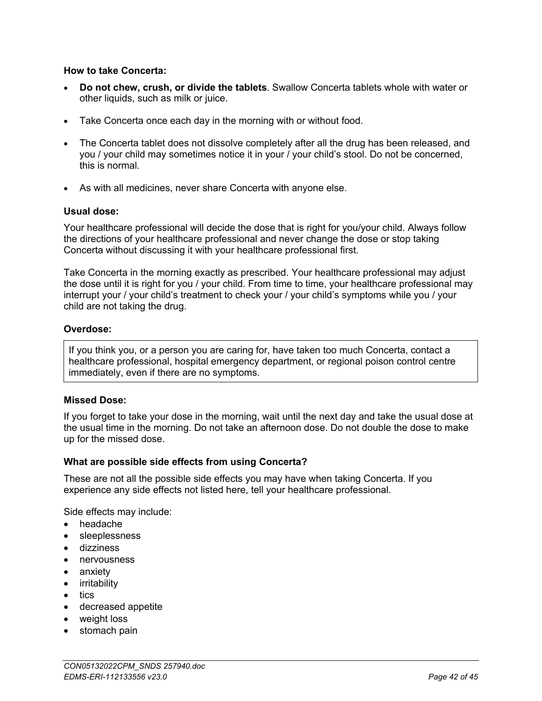#### **How to take Concerta:**

- **Do not chew, crush, or divide the tablets**. Swallow Concerta tablets whole with water or other liquids, such as milk or juice.
- Take Concerta once each day in the morning with or without food.
- The Concerta tablet does not dissolve completely after all the drug has been released, and you / your child may sometimes notice it in your / your child's stool. Do not be concerned, this is normal.
- As with all medicines, never share Concerta with anyone else.

#### **Usual dose:**

Your healthcare professional will decide the dose that is right for you/your child. Always follow the directions of your healthcare professional and never change the dose or stop taking Concerta without discussing it with your healthcare professional first.

Take Concerta in the morning exactly as prescribed. Your healthcare professional may adjust the dose until it is right for you / your child. From time to time, your healthcare professional may interrupt your / your child's treatment to check your / your child's symptoms while you / your child are not taking the drug.

### **Overdose:**

If you think you, or a person you are caring for, have taken too much Concerta, contact a healthcare professional, hospital emergency department, or regional poison control centre immediately, even if there are no symptoms.

#### **Missed Dose:**

If you forget to take your dose in the morning, wait until the next day and take the usual dose at the usual time in the morning. Do not take an afternoon dose. Do not double the dose to make up for the missed dose.

### **What are possible side effects from using Concerta?**

These are not all the possible side effects you may have when taking Concerta. If you experience any side effects not listed here, tell your healthcare professional.

Side effects may include:

- headache
- sleeplessness
- dizziness
- nervousness
- anxiety
- irritability
- tics
- decreased appetite
- weight loss
- stomach pain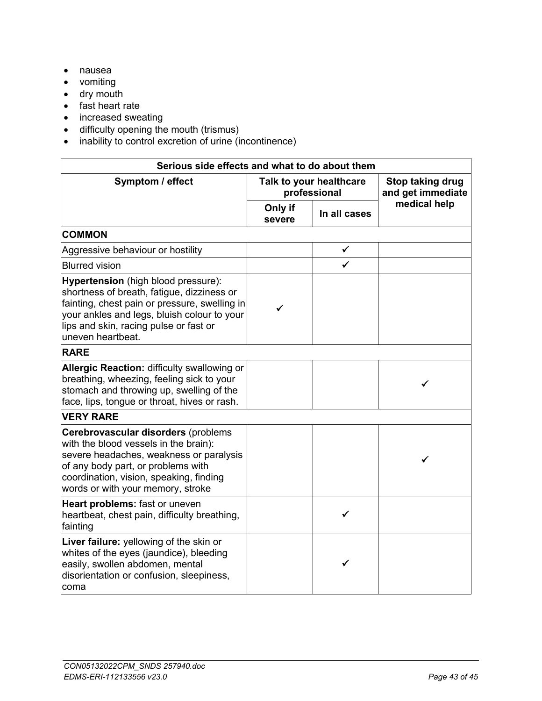- nausea
- vomiting
- dry mouth
- fast heart rate
- increased sweating
- difficulty opening the mouth (trismus)
- inability to control excretion of urine (incontinence)

| Serious side effects and what to do about them                                                                                                                                                                                                          |                                         |              |                                       |  |  |
|---------------------------------------------------------------------------------------------------------------------------------------------------------------------------------------------------------------------------------------------------------|-----------------------------------------|--------------|---------------------------------------|--|--|
| Symptom / effect                                                                                                                                                                                                                                        | Talk to your healthcare<br>professional |              | Stop taking drug<br>and get immediate |  |  |
|                                                                                                                                                                                                                                                         | Only if<br>severe                       | In all cases | medical help                          |  |  |
| <b>COMMON</b>                                                                                                                                                                                                                                           |                                         |              |                                       |  |  |
| Aggressive behaviour or hostility                                                                                                                                                                                                                       |                                         | ✓            |                                       |  |  |
| <b>Blurred vision</b>                                                                                                                                                                                                                                   |                                         | ✓            |                                       |  |  |
| <b>Hypertension</b> (high blood pressure):<br>shortness of breath, fatigue, dizziness or<br>fainting, chest pain or pressure, swelling in<br>your ankles and legs, bluish colour to your<br>lips and skin, racing pulse or fast or<br>uneven heartbeat. | ✓                                       |              |                                       |  |  |
| <b>RARE</b>                                                                                                                                                                                                                                             |                                         |              |                                       |  |  |
| Allergic Reaction: difficulty swallowing or<br>breathing, wheezing, feeling sick to your<br>stomach and throwing up, swelling of the<br>face, lips, tongue or throat, hives or rash.                                                                    |                                         |              | ✓                                     |  |  |
| <b>VERY RARE</b>                                                                                                                                                                                                                                        |                                         |              |                                       |  |  |
| Cerebrovascular disorders (problems<br>with the blood vessels in the brain):<br>severe headaches, weakness or paralysis<br>of any body part, or problems with<br>coordination, vision, speaking, finding<br>words or with your memory, stroke           |                                         |              | ✓                                     |  |  |
| Heart problems: fast or uneven<br>heartbeat, chest pain, difficulty breathing,<br>fainting                                                                                                                                                              |                                         | ✓            |                                       |  |  |
| Liver failure: yellowing of the skin or<br>whites of the eyes (jaundice), bleeding<br>easily, swollen abdomen, mental<br>disorientation or confusion, sleepiness,<br>coma                                                                               |                                         | ✔            |                                       |  |  |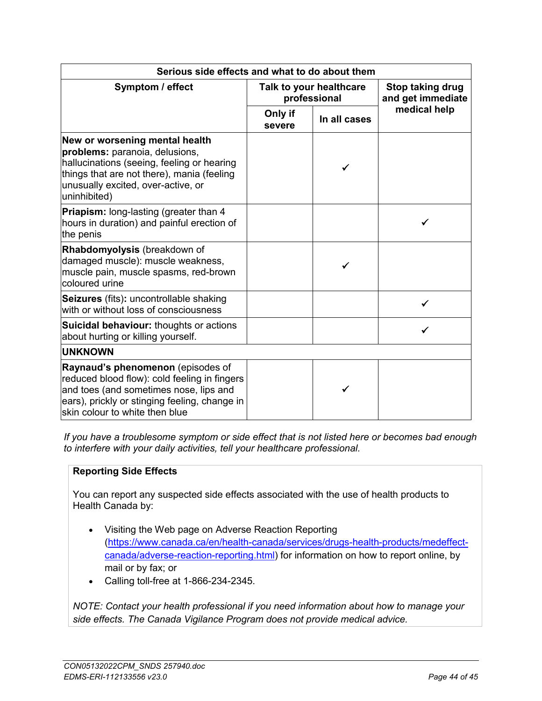| Serious side effects and what to do about them                                                                                                                                                                     |                                         |              |                                       |  |  |
|--------------------------------------------------------------------------------------------------------------------------------------------------------------------------------------------------------------------|-----------------------------------------|--------------|---------------------------------------|--|--|
| Symptom / effect                                                                                                                                                                                                   | Talk to your healthcare<br>professional |              | Stop taking drug<br>and get immediate |  |  |
|                                                                                                                                                                                                                    | Only if<br>severe                       | In all cases | medical help                          |  |  |
| New or worsening mental health<br>problems: paranoia, delusions,<br>hallucinations (seeing, feeling or hearing<br>things that are not there), mania (feeling<br>unusually excited, over-active, or<br>uninhibited) |                                         |              |                                       |  |  |
| Priapism: long-lasting (greater than 4<br>hours in duration) and painful erection of<br>the penis                                                                                                                  |                                         |              |                                       |  |  |
| Rhabdomyolysis (breakdown of<br>damaged muscle): muscle weakness,<br>muscle pain, muscle spasms, red-brown<br>coloured urine                                                                                       |                                         |              |                                       |  |  |
| Seizures (fits): uncontrollable shaking<br>with or without loss of consciousness                                                                                                                                   |                                         |              |                                       |  |  |
| <b>Suicidal behaviour:</b> thoughts or actions<br>about hurting or killing yourself.                                                                                                                               |                                         |              |                                       |  |  |
| <b>UNKNOWN</b>                                                                                                                                                                                                     |                                         |              |                                       |  |  |
| Raynaud's phenomenon (episodes of<br>reduced blood flow): cold feeling in fingers<br>and toes (and sometimes nose, lips and<br>ears), prickly or stinging feeling, change in<br>skin colour to white then blue     |                                         |              |                                       |  |  |

*If you have a troublesome symptom or side effect that is not listed here or becomes bad enough to interfere with your daily activities, tell your healthcare professional.*

# **Reporting Side Effects**

You can report any suspected side effects associated with the use of health products to Health Canada by:

- Visiting the Web page on Adverse Reaction Reporting (https://www.canada.ca/en/health-canada/services/drugs-health-products/medeffectcanada/adverse-reaction-reporting.html) for information on how to report online, by mail or by fax; or
- Calling toll-free at 1-866-234-2345.

*NOTE: Contact your health professional if you need information about how to manage your side effects. The Canada Vigilance Program does not provide medical advice.*